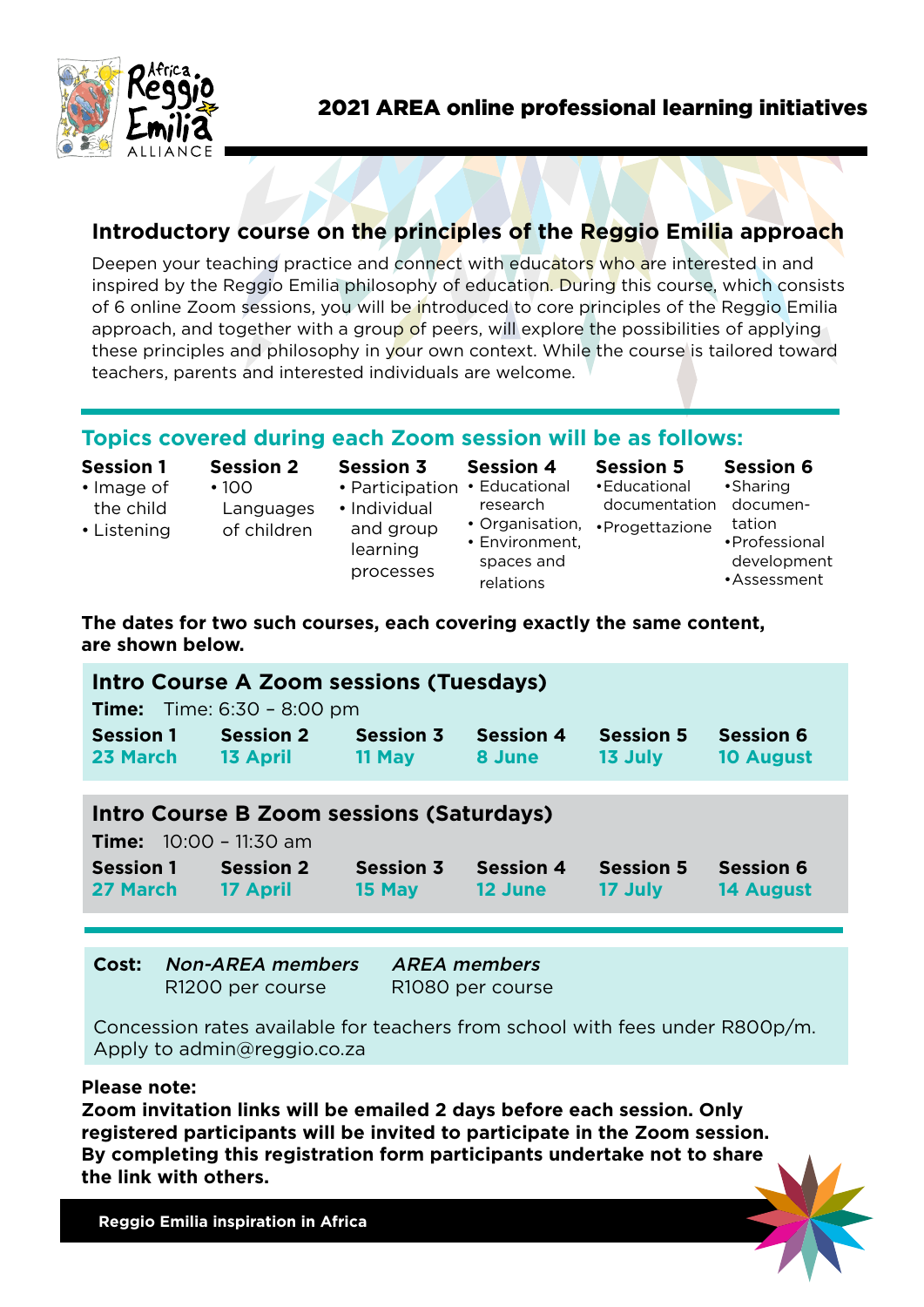

# **Introductory course on the principles of the Reggio Emilia approach**

Deepen your teaching practice and connect with educators who are interested in and inspired by the Reggio Emilia philosophy of education. During this course, which consists of 6 online Zoom sessions, you will be introduced to core principles of the Reggio Emilia approach, and together with a group of peers, will explore the possibilities of applying these principles and philosophy in your own context. While the course is tailored toward teachers, parents and interested individuals are welcome.

# **Topics covered during each Zoom session will be as follows:**

| <b>Session 1</b><br>$\cdot$ Image of<br>the child<br>• Listening | <b>Session 2</b><br>$\cdot$ 100<br>Languages<br>of children | <b>Session 3</b><br>• Participation<br>• Individual<br>and group<br>learning<br>processes | <b>Session 4</b><br>• Educational<br>research<br>• Organisation,<br>• Environment,<br>spaces and<br>relations | <b>Session 5</b><br>• Educational<br>documentation<br>•Progettazione | <b>Session 6</b><br>•Sharing<br>documen-<br>tation<br>• Professional<br>development<br>•Assessment |
|------------------------------------------------------------------|-------------------------------------------------------------|-------------------------------------------------------------------------------------------|---------------------------------------------------------------------------------------------------------------|----------------------------------------------------------------------|----------------------------------------------------------------------------------------------------|
|------------------------------------------------------------------|-------------------------------------------------------------|-------------------------------------------------------------------------------------------|---------------------------------------------------------------------------------------------------------------|----------------------------------------------------------------------|----------------------------------------------------------------------------------------------------|

## **The dates for two such courses, each covering exactly the same content, are shown below.**

| Intro Course A Zoom sessions (Tuesdays)<br><b>Time:</b> Time: $6:30 - 8:00 \text{ pm}$ |                  |                  |                  |                  |                  |  |  |
|----------------------------------------------------------------------------------------|------------------|------------------|------------------|------------------|------------------|--|--|
| <b>Session 1</b>                                                                       | <b>Session 2</b> | <b>Session 3</b> | <b>Session 4</b> | <b>Session 5</b> | <b>Session 6</b> |  |  |
| 23 March                                                                               | <b>13 April</b>  | 11 May           | 8 June           | 13 July          | <b>10 August</b> |  |  |
| Intro Course B Zoom sessions (Saturdays)<br><b>Time:</b> $10:00 - 11:30$ am            |                  |                  |                  |                  |                  |  |  |
| <b>Session 1</b>                                                                       | <b>Session 2</b> | <b>Session 3</b> | <b>Session 4</b> | <b>Session 5</b> | <b>Session 6</b> |  |  |
| 27 March                                                                               | 17 April         | 15 May           | 12 June          | 17 July          | <b>14 August</b> |  |  |

**Cost:** Non-AREA members AREA members

R1200 per course R1080 per course

Concession rates available for teachers from school with fees under R800p/m. Apply to admin@reggio.co.za

## **Please note:**

**Zoom invitation links will be emailed 2 days before each session. Only registered participants will be invited to participate in the Zoom session. By completing this registration form participants undertake not to share the link with others.**